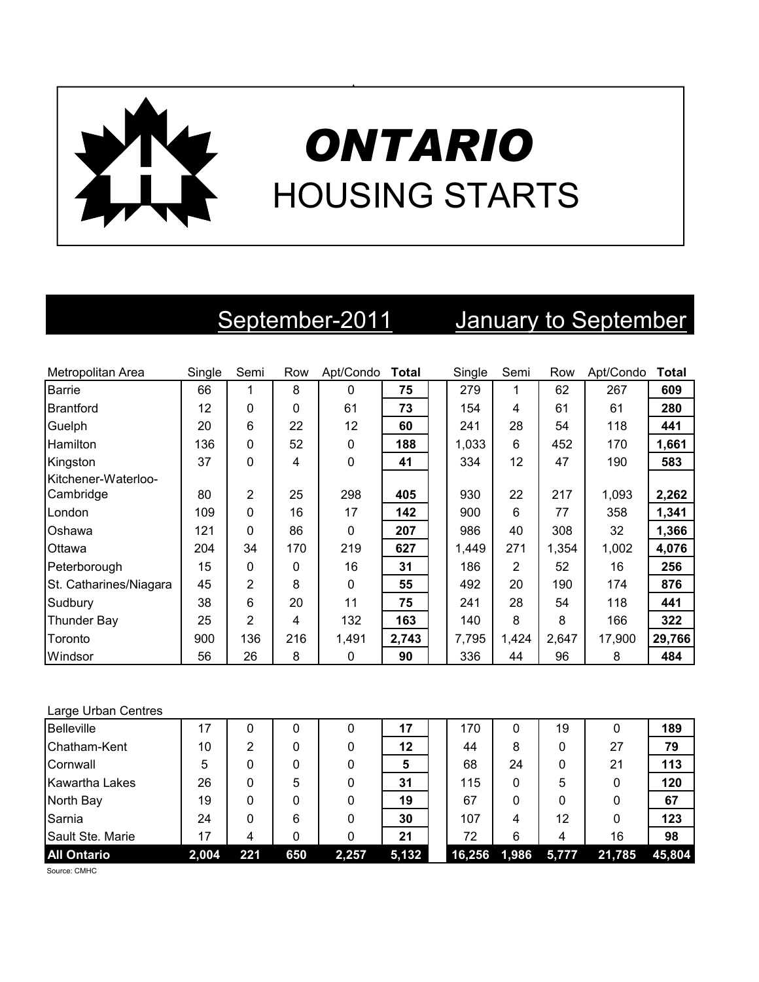

# *ONTARIO* HOUSING STARTS

# September-2011 January to September

| Metropolitan Area      | Single | Semi           | Row | Apt/Condo    | Total | Single | Semi  | Row   | Apt/Condo | <b>Total</b> |
|------------------------|--------|----------------|-----|--------------|-------|--------|-------|-------|-----------|--------------|
| <b>Barrie</b>          | 66     | 1              | 8   | $\Omega$     | 75    | 279    | 1     | 62    | 267       | 609          |
| <b>Brantford</b>       | 12     | $\Omega$       | 0   | 61           | 73    | 154    | 4     | 61    | 61        | 280          |
| Guelph                 | 20     | 6              | 22  | 12           | 60    | 241    | 28    | 54    | 118       | 441          |
| <b>Hamilton</b>        | 136    | 0              | 52  | $\mathbf 0$  | 188   | 1,033  | 6     | 452   | 170       | 1,661        |
| Kingston               | 37     | 0              | 4   | $\mathbf{0}$ | 41    | 334    | 12    | 47    | 190       | 583          |
| Kitchener-Waterloo-    |        |                |     |              |       |        |       |       |           |              |
| Cambridge              | 80     | $\overline{2}$ | 25  | 298          | 405   | 930    | 22    | 217   | 1,093     | 2,262        |
| London                 | 109    | $\Omega$       | 16  | 17           | 142   | 900    | 6     | 77    | 358       | 1,341        |
| Oshawa                 | 121    | $\Omega$       | 86  | $\Omega$     | 207   | 986    | 40    | 308   | 32        | 1,366        |
| Ottawa                 | 204    | 34             | 170 | 219          | 627   | 1,449  | 271   | 1,354 | 1,002     | 4,076        |
| Peterborough           | 15     | 0              | 0   | 16           | 31    | 186    | 2     | 52    | 16        | 256          |
| St. Catharines/Niagara | 45     | 2              | 8   | $\Omega$     | 55    | 492    | 20    | 190   | 174       | 876          |
| Sudbury                | 38     | 6              | 20  | 11           | 75    | 241    | 28    | 54    | 118       | 441          |
| <b>Thunder Bay</b>     | 25     | $\overline{2}$ | 4   | 132          | 163   | 140    | 8     | 8     | 166       | 322          |
| Toronto                | 900    | 136            | 216 | 1,491        | 2,743 | 7,795  | 1,424 | 2,647 | 17,900    | 29,766       |
| Windsor                | 56     | 26             | 8   | 0            | 90    | 336    | 44    | 96    | 8         | 484          |

### Large Urban Centres

| <b>Belleville</b>     | 17    |     |     |       | 17    | 170    | 0     | 19    | 0      | 189    |
|-----------------------|-------|-----|-----|-------|-------|--------|-------|-------|--------|--------|
| Chatham-Kent          | 10    | 2   |     |       | 12    | 44     | 8     | 0     | 27     | 79     |
| Cornwall              | 5     | 0   |     |       | 5     | 68     | 24    | 0     | 21     | 113    |
| <b>Kawartha Lakes</b> | 26    | 0   | 5   |       | 31    | 115    | 0     | 5     | 0      | 120    |
| North Bay             | 19    | 0   |     |       | 19    | 67     | 0     | 0     | 0      | 67     |
| Sarnia                | 24    | 0   | 6   |       | 30    | 107    | 4     | 12    | 0      | 123    |
| Sault Ste. Marie      | 17    | 4   |     |       | 21    | 72     | 6     | 4     | 16     | 98     |
| <b>All Ontario</b>    | 2,004 | 221 | 650 | 2,257 | 5,132 | 16,256 | 1,986 | 5,777 | 21,785 | 45,804 |

Source: CMHC